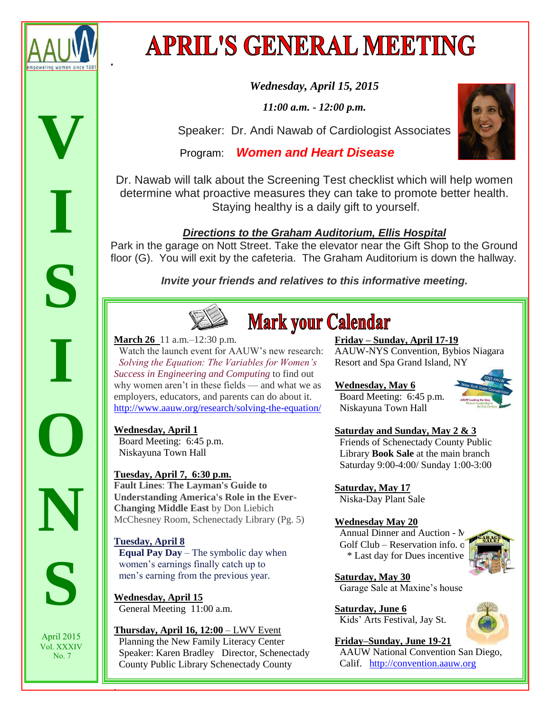

**.**

# **APRIL'S GENERAL MEETING**

*Wednesday, April 15, 2015* 

*11:00 a.m. - 12:00 p.m.*

Speaker: Dr. Andi Nawab of Cardiologist Associates

Program: **Women and Heart Disease**



Dr. Nawab will talk about the Screening Test checklist which will help women determine what proactive measures they can take to promote better health. Staying healthy is a daily gift to yourself.

# **Directions to the Graham Auditorium, Ellis Hospital**

Park in the garage on Nott Street. Take the elevator near the Gift Shop to the Ground floor (G). You will exit by the cafeteria. The Graham Auditorium is down the hallway.

**Invite your friends and relatives to this informative meeting.**



# **Mark your Calendar**

**March 26** 11 a.m.–12:30 p.m.

 Watch the launch event for AAUW's new research: *[Solving the Equation: The Variables for Women's](http://www.aauw.org/research/solving-the-equation/)  [Success in Engineering and Computing](http://www.aauw.org/research/solving-the-equation/)* to find out why women aren't in these fields — and what we as employers, educators, and parents can do about it. <http://www.aauw.org/research/solving-the-equation/>

### **Wednesday, April 1**

 Board Meeting: 6:45 p.m. Niskayuna Town Hall

# **Tuesday, April 7, 6:30 p.m.**

**Fault Lines**: **The Layman's Guide to Understanding America's Role in the Ever-Changing Middle East** by Don Liebich McChesney Room, Schenectady Library (Pg. 5)

# **Tuesday, April 8**

.

 **Equal Pay Day** – The symbolic day when women's earnings finally catch up to men's earning from the previous year.

**Wednesday, April 15**  General Meeting 11:00 a.m.

**Thursday, April 16, 12:00** – LWV Event Planning the New Family Literacy Center Speaker: Karen Bradley Director, Schenectady County Public Library Schenectady County

**Friday – Sunday, April 17-19** 

AAUW-NYS Convention, Bybios Niagara Resort and Spa Grand Island, NY

# **Wednesday, May 6**

Board Meeting: 6:45 p.m. Niskayuna Town Hall

# **Saturday and Sunday, May 2 & 3**

 Friends of Schenectady County Public Library **Book Sale** at the main branch Saturday 9:00-4:00/ Sunday 1:00-3:00

**Saturday, May 17**

Niska-Day Plant Sale

# **Wednesday May 20**

Annual Dinner and Auction -  $N$ Golf Club – Reservation info.  $\sigma$ \* Last day for Dues incentive!



**Saturday, May 30** Garage Sale at Maxine's house

**Saturday, June 6** Kids' Arts Festival, Jay St.



**Friday–Sunday, June 19-21**  AAUW National Convention San Diego, Calif. [http://convention.aauw.org](http://convention.aauw.org/)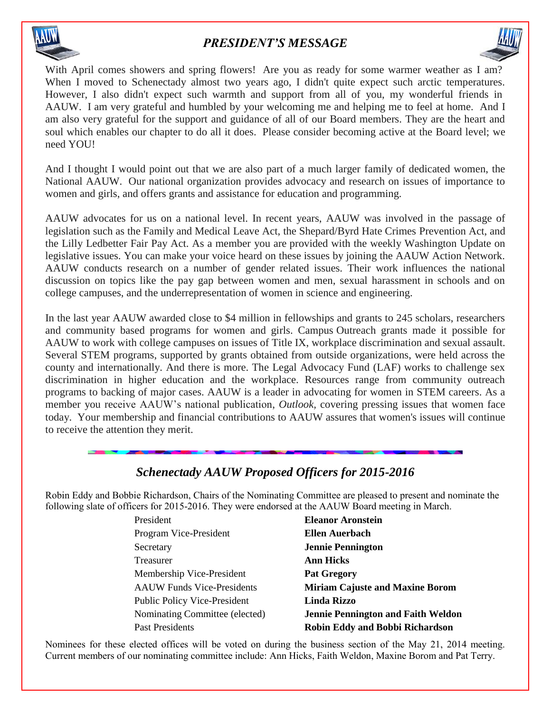

# *PRESIDENT'S MESSAGE*



With April comes showers and spring flowers! Are you as ready for some warmer weather as I am? When I moved to Schenectady almost two years ago, I didn't quite expect such arctic temperatures. However, I also didn't expect such warmth and support from all of you, my wonderful friends in AAUW. I am very grateful and humbled by your welcoming me and helping me to feel at home. And I am also very grateful for the support and guidance of all of our Board members. They are the heart and soul which enables our chapter to do all it does. Please consider becoming active at the Board level; we need YOU!

And I thought I would point out that we are also part of a much larger family of dedicated women, the National AAUW. Our national organization provides advocacy and research on issues of importance to women and girls, and offers grants and assistance for education and programming.

AAUW advocates for us on a national level. In recent years, AAUW was involved in the passage of legislation such as the Family and Medical Leave Act, the Shepard/Byrd Hate Crimes Prevention Act, and the Lilly Ledbetter Fair Pay Act. As a member you are provided with the weekly Washington Update on legislative issues. You can make your voice heard on these issues by joining the AAUW Action Network. AAUW conducts research on a number of gender related issues. Their work influences the national discussion on topics like the pay gap between women and men, sexual harassment in schools and on college campuses, and the underrepresentation of women in science and engineering.

In the last year AAUW awarded close to \$4 million in fellowships and grants to 245 scholars, researchers and community based programs for women and girls. Campus Outreach grants made it possible for AAUW to work with college campuses on issues of Title IX, workplace discrimination and sexual assault. Several STEM programs, supported by grants obtained from outside organizations, were held across the county and internationally. And there is more. The Legal Advocacy Fund (LAF) works to challenge sex discrimination in higher education and the workplace. Resources range from community outreach programs to backing of major cases. AAUW is a leader in advocating for women in STEM careers. As a member you receive AAUW's national publication, *Outlook,* covering pressing issues that women face today. Your membership and financial contributions to AAUW assures that women's issues will continue to receive the attention they merit.

# *Schenectady AAUW Proposed Officers for 2015-2016*

Robin Eddy and Bobbie Richardson, Chairs of the Nominating Committee are pleased to present and nominate the following slate of officers for 2015-2016. They were endorsed at the AAUW Board meeting in March.

| President                           | <b>Eleanor Aronstein</b>                  |
|-------------------------------------|-------------------------------------------|
| Program Vice-President              | Ellen Auerbach                            |
| Secretary                           | <b>Jennie Pennington</b>                  |
| Treasurer                           | <b>Ann Hicks</b>                          |
| Membership Vice-President           | <b>Pat Gregory</b>                        |
| <b>AAUW</b> Funds Vice-Presidents   | <b>Miriam Cajuste and Maxine Borom</b>    |
| <b>Public Policy Vice-President</b> | Linda Rizzo                               |
| Nominating Committee (elected)      | <b>Jennie Pennington and Faith Weldon</b> |
| Past Presidents                     | <b>Robin Eddy and Bobbi Richardson</b>    |

Nominees for these elected offices will be voted on during the business section of the May 21, 2014 meeting. Current members of our nominating committee include: Ann Hicks, Faith Weldon, Maxine Borom and Pat Terry.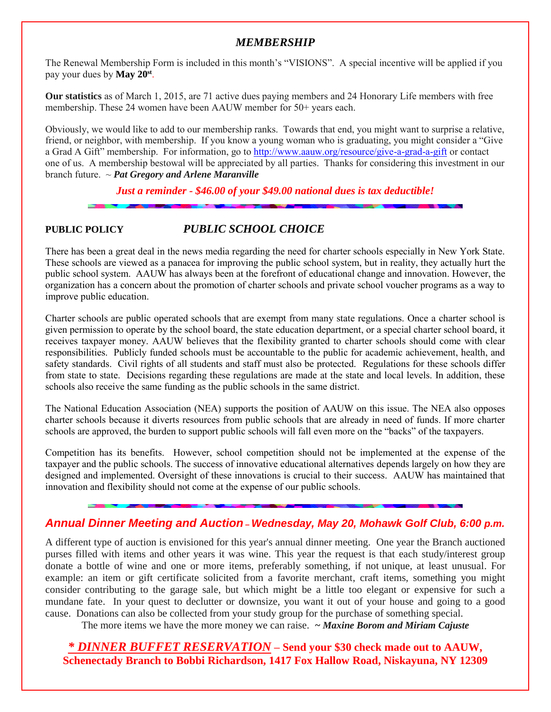#### *MEMBERSHIP*

The Renewal Membership Form is included in this month's "VISIONS". A special incentive will be applied if you pay your dues by **May 20 st** .

**Our statistics** as of March 1, 2015, are 71 active dues paying members and 24 Honorary Life members with free membership. These 24 women have been AAUW member for 50+ years each.

Obviously, we would like to add to our membership ranks. Towards that end, you might want to surprise a relative, friend, or neighbor, with membership. If you know a young woman who is graduating, you might consider a "Give a Grad A Gift" membership. For information, go to<http://www.aauw.org/resource/give-a-grad-a-gift> or contact one of us. A membership bestowal will be appreciated by all parties. Thanks for considering this investment in our branch future. ~ *Pat Gregory and Arlene Maranville*

*Just a reminder - \$46.00 of your \$49.00 national dues is tax deductible!*

### **PUBLIC POLICY** *PUBLIC SCHOOL CHOICE*

There has been a great deal in the news media regarding the need for charter schools especially in New York State. These schools are viewed as a panacea for improving the public school system, but in reality, they actually hurt the public school system. AAUW has always been at the forefront of educational change and innovation. However, the organization has a concern about the promotion of charter schools and private school voucher programs as a way to improve public education.

Charter schools are public operated schools that are exempt from many state regulations. Once a charter school is given permission to operate by the school board, the state education department, or a special charter school board, it receives taxpayer money. AAUW believes that the flexibility granted to charter schools should come with clear responsibilities. Publicly funded schools must be accountable to the public for academic achievement, health, and safety standards. Civil rights of all students and staff must also be protected. Regulations for these schools differ from state to state. Decisions regarding these regulations are made at the state and local levels. In addition, these schools also receive the same funding as the public schools in the same district.

The National Education Association (NEA) supports the position of AAUW on this issue. The NEA also opposes charter schools because it diverts resources from public schools that are already in need of funds. If more charter schools are approved, the burden to support public schools will fall even more on the "backs" of the taxpayers.

Competition has its benefits. However, school competition should not be implemented at the expense of the taxpayer and the public schools. The success of innovative educational alternatives depends largely on how they are designed and implemented. Oversight of these innovations is crucial to their success. AAUW has maintained that innovation and flexibility should not come at the expense of our public schools.

### **Annual Dinner Meeting and Auction** *–* **Wednesday, May 20, Mohawk Golf Club, 6:00 p.m.**

A different type of auction is envisioned for this year's annual dinner meeting. One year the Branch auctioned purses filled with items and other years it was wine. This year the request is that each study/interest group donate a bottle of wine and one or more items, preferably something, if not unique, at least unusual. For example: an item or gift certificate solicited from a favorite merchant, craft items, something you might consider contributing to the garage sale, but which might be a little too elegant or expensive for such a mundane fate. In your quest to declutter or downsize, you want it out of your house and going to a good cause. Donations can also be collected from your study group for the purchase of something special.

The more items we have the more money we can raise. *~ Maxine Borom and Miriam Cajuste*

*\* DINNER BUFFET RESERVATION* **– Send your \$30 check made out to AAUW, Schenectady Branch to Bobbi Richardson, 1417 Fox Hallow Road, Niskayuna, NY 12309**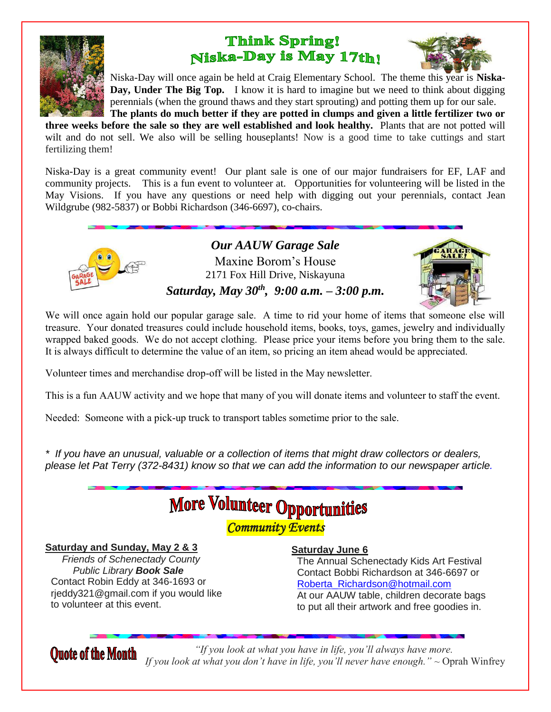

# **Think Spring!** Niska-Day is May 17th!



Niska-Day will once again be held at Craig Elementary School. The theme this year is **Niska-Day, Under The Big Top.** I know it is hard to imagine but we need to think about digging perennials (when the ground thaws and they start sprouting) and potting them up for our sale. **The plants do much better if they are potted in clumps and given a little fertilizer two or** 

**three weeks before the sale so they are well established and look healthy.** Plants that are not potted will wilt and do not sell. We also will be selling houseplants! Now is a good time to take cuttings and start fertilizing them!

Niska-Day is a great community event! Our plant sale is one of our major fundraisers for EF, LAF and community projects. This is a fun event to volunteer at. Opportunities for volunteering will be listed in the May Visions. If you have any questions or need help with digging out your perennials, contact Jean Wildgrube (982-5837) or Bobbi Richardson (346-6697), co-chairs.



*Our AAUW Garage Sale* Maxine Borom's House 2171 Fox Hill Drive, Niskayuna *Saturday, May 30th , 9:00 a.m. – 3:00 p.m.*



We will once again hold our popular garage sale. A time to rid your home of items that someone else will treasure. Your donated treasures could include household items, books, toys, games, jewelry and individually wrapped baked goods. We do not accept clothing. Please price your items before you bring them to the sale. It is always difficult to determine the value of an item, so pricing an item ahead would be appreciated.

Volunteer times and merchandise drop-off will be listed in the May newsletter.

This is a fun AAUW activity and we hope that many of you will donate items and volunteer to staff the event.

Needed: Someone with a pick-up truck to transport tables sometime prior to the sale.

\* If you have an unusual, valuable or a collection of items that might draw collectors or dealers, please let Pat Terry (372-8431) know so that we can add the information to our newspaper article.

# **More Volunteer Opportunities**

*Community Events* 

#### **Saturday and Sunday, May 2 & 3**

 Friends of Schenectady County Public Library **Book Sale** Contact Robin Eddy at 346-1693 or rjeddy321@gmail.com if you would like to volunteer at this event.

#### **Saturday June 6**

 The Annual Schenectady Kids Art Festival Contact Bobbi Richardson at 346-6697 or [Roberta\\_Richardson@hotmail.com](mailto:Roberta_Richardson@hotmail.com) At our AAUW table, children decorate bags to put all their artwork and free goodies in.

*"If you look at what you have in life, you'll always have more.* **Quote of the Month** *If you look at what you don't have in life, you'll never have enough."* ~ Oprah Winfrey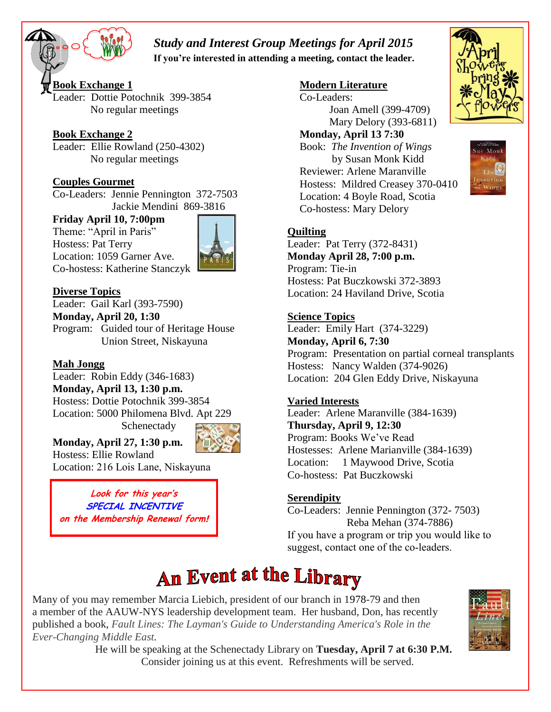# *Study and Interest Group Meetings for April 2015*

 **If you're interested in attending a meeting, contact the leader.**

**Book Exchange 1** Leader: Dottie Potochnik 399-3854 No regular meetings

#### **Book Exchange 2**

 $\overline{a}$ 

Leader: Ellie Rowland (250-4302) No regular meetings

### **Couples Gourmet**

Co-Leaders: Jennie Pennington 372-7503 Jackie Mendini 869-3816

#### **Friday April 10, 7:00pm**

Theme: "April in Paris" Hostess: Pat Terry Location: 1059 Garner Ave. Co-hostess: Katherine Stanczyk



#### **Diverse Topics**

Leader: Gail Karl (393-7590) **Monday, April 20, 1:30** Program: Guided tour of Heritage House Union Street, Niskayuna

#### **Mah Jongg**

Leader: Robin Eddy (346-1683) **Monday, April 13, 1:30 p.m.** Hostess: Dottie Potochnik 399-3854 Location: 5000 Philomena Blvd. Apt 229 Schenectady



Hostess: Ellie Rowland Location: 216 Lois Lane, Niskayuna

**Monday, April 27, 1:30 p.m.**

**Look for this year's SPECIAL INCENTIVE on the Membership Renewal form!** 

#### **Modern Literature**

Co-Leaders: Joan Amell (399-4709) Mary Delory (393-6811)

#### **Monday, April 13 7:30**

Book: *The Invention of Wings* by Susan Monk Kidd Reviewer: Arlene Maranville Hostess: Mildred Creasey 370-0410 Location: 4 Boyle Road, Scotia Co-hostess: Mary Delory

#### **Quilting**

Leader: Pat Terry (372-8431) **Monday April 28, 7:00 p.m.** Program: Tie-in Hostess: Pat Buczkowski 372-3893 Location: 24 Haviland Drive, Scotia

#### **Science Topics**

Leader: Emily Hart (374-3229) **Monday, April 6, 7:30** Program: Presentation on partial corneal transplants Hostess: Nancy Walden (374-9026) Location: 204 Glen Eddy Drive, Niskayuna

#### **Varied Interests**

Leader: Arlene Maranville (384-1639) **Thursday, April 9, 12:30**  Program: Books We've Read Hostesses: Arlene Marianville (384-1639) Location: 1 Maywood Drive, Scotia Co-hostess: Pat Buczkowski

### **Serendipity**

Co-Leaders: Jennie Pennington (372- 7503) Reba Mehan (374-7886) If you have a program or trip you would like to suggest, contact one of the co-leaders.

Many of you may remember Marcia Liebich, president of our branch in 1978-79 and then a member of the AAUW-NYS leadership development team. Her husband, Don, has recently published a book, *Fault Lines: The Layman's Guide to Understanding America's Role in the Ever-Changing Middle East.* **Study and Interest Group Meetings for April 2015<br>
If you're interested in attending a meeting, contact the leader.**<br>
Study and American Considers.<br>
Usine Potochnik 399-3854<br>
Usine Mouth (1894-47)<br>
The Newland (250-44302)



He will be speaking at the Schenectady Library on **Tuesday, April 7 at 6:30 P.M.**